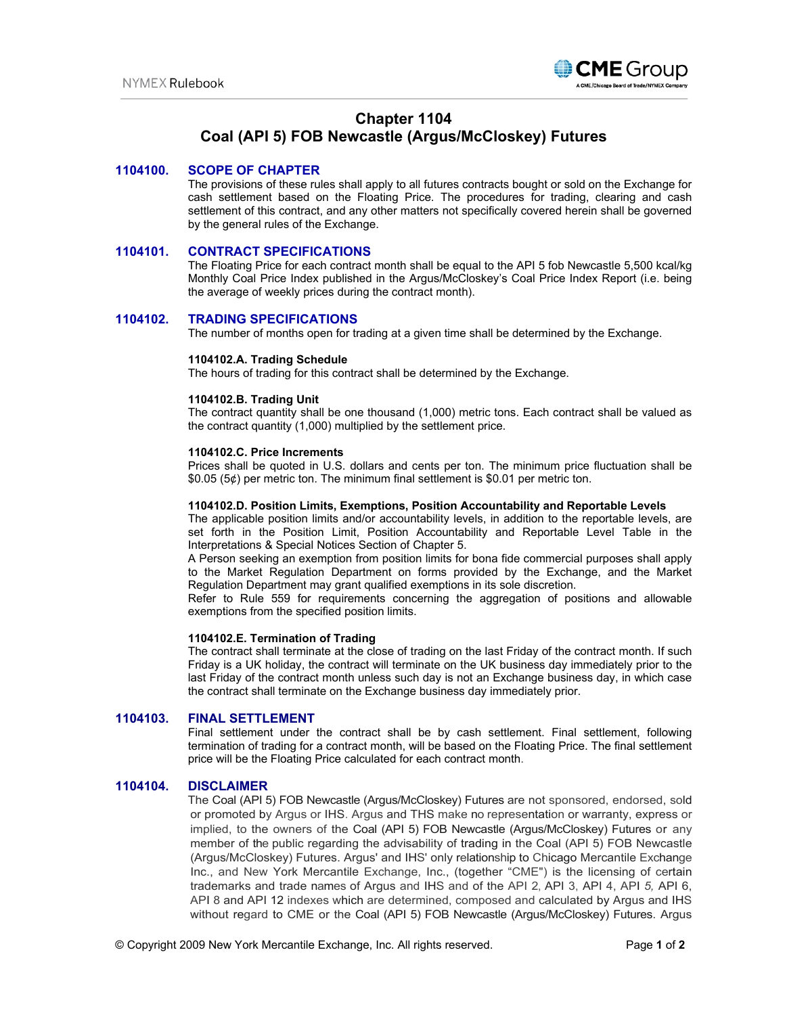

# **Chapter 1104**

# **Coal (API 5) FOB Newcastle (Argus/McCloskey) Futures**

## **1104100. SCOPE OF CHAPTER**

The provisions of these rules shall apply to all futures contracts bought or sold on the Exchange for cash settlement based on the Floating Price. The procedures for trading, clearing and cash settlement of this contract, and any other matters not specifically covered herein shall be governed by the general rules of the Exchange.

## **1104101. CONTRACT SPECIFICATIONS**

The Floating Price for each contract month shall be equal to the API 5 fob Newcastle 5,500 kcal/kg Monthly Coal Price Index published in the Argus/McCloskey's Coal Price Index Report (i.e. being the average of weekly prices during the contract month).

# **1104102. TRADING SPECIFICATIONS**

The number of months open for trading at a given time shall be determined by the Exchange.

#### **1104102.A. Trading Schedule**

The hours of trading for this contract shall be determined by the Exchange.

#### **1104102.B. Trading Unit**

The contract quantity shall be one thousand (1,000) metric tons. Each contract shall be valued as the contract quantity (1,000) multiplied by the settlement price.

#### **1104102.C. Price Increments**

Prices shall be quoted in U.S. dollars and cents per ton. The minimum price fluctuation shall be \$0.05 (5¢) per metric ton. The minimum final settlement is \$0.01 per metric ton.

#### **1104102.D. Position Limits, Exemptions, Position Accountability and Reportable Levels**

The applicable position limits and/or accountability levels, in addition to the reportable levels, are set forth in the Position Limit, Position Accountability and Reportable Level Table in the Interpretations & Special Notices Section of Chapter 5.

A Person seeking an exemption from position limits for bona fide commercial purposes shall apply to the Market Regulation Department on forms provided by the Exchange, and the Market Regulation Department may grant qualified exemptions in its sole discretion.

Refer to Rule 559 for requirements concerning the aggregation of positions and allowable exemptions from the specified position limits.

#### **1104102.E. Termination of Trading**

The contract shall terminate at the close of trading on the last Friday of the contract month. If such Friday is a UK holiday, the contract will terminate on the UK business day immediately prior to the last Friday of the contract month unless such day is not an Exchange business day, in which case the contract shall terminate on the Exchange business day immediately prior.

### **1104103. FINAL SETTLEMENT**

Final settlement under the contract shall be by cash settlement. Final settlement, following termination of trading for a contract month, will be based on the Floating Price. The final settlement price will be the Floating Price calculated for each contract month.

### **1104104. DISCLAIMER**

The Coal (API 5) FOB Newcastle (Argus/McCloskey) Futures are not sponsored, endorsed, sold or promoted by Argus or IHS. Argus and THS make no representation or warranty, express or implied, to the owners of the Coal (API 5) FOB Newcastle (Argus/McCloskey) Futures or any member of the public regarding the advisability of trading in the Coal (API 5) FOB Newcastle (Argus/McCloskey) Futures. Argus' and IHS' only relationship to Chicago Mercantile Exchange Inc., and New York Mercantile Exchange, Inc., (together "CME") is the licensing of certain trademarks and trade names of Argus and IHS and of the API 2, API 3, API 4, API *5,* API 6, API 8 and API 12 indexes which are determined, composed and calculated by Argus and IHS without regard to CME or the Coal (API 5) FOB Newcastle (Argus/McCloskey) Futures. Argus